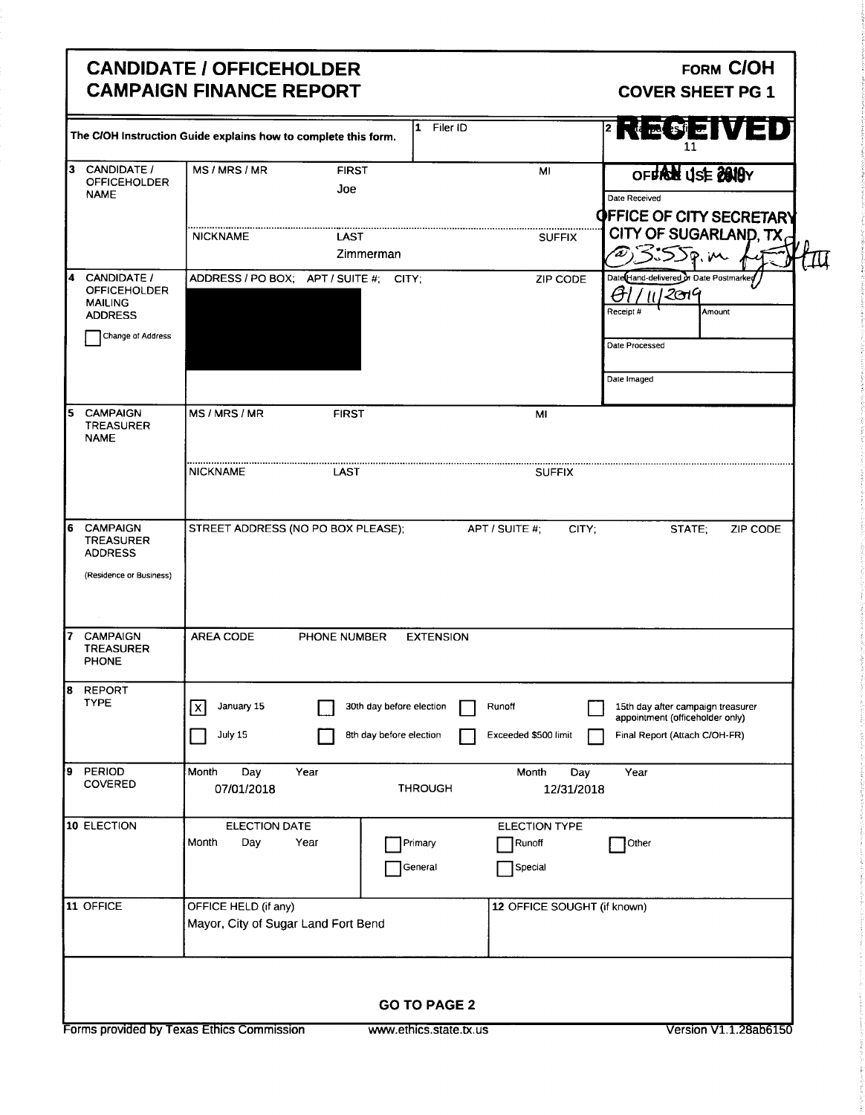## CANDIDATE / OFFICEHOLDER<br>
CAMPAIGN FINANCE REPORT CAMPAIGN FINANCE REPORT **CAMPAIGN FINANCE REPORT**

|                                                                               | The C/OH Instruction Guide explains how to complete this form. |                                                     |                                           |                                                                          | SEWED<br>11                                  |
|-------------------------------------------------------------------------------|----------------------------------------------------------------|-----------------------------------------------------|-------------------------------------------|--------------------------------------------------------------------------|----------------------------------------------|
| Ι3.<br>CANDIDATE /<br><b>OFFICEHOLDER</b><br><b>NAME</b>                      | MS/MRS/MR                                                      | <b>FIRST</b><br>Joe                                 | MI                                        | Date Received                                                            | OFFROM USE 2018Y<br>OFFICE OF CITY SECRETARY |
|                                                                               | <b>NICKNAME</b>                                                | LAST                                                |                                           | <b>SUFFIX</b>                                                            | CITY OF SUGARLAND, TX                        |
|                                                                               |                                                                | Zimmerman                                           |                                           | 3:55p.m                                                                  |                                              |
| <b>CANDIDATE /</b><br><b>OFFICEHOLDER</b><br><b>MAILING</b><br><b>ADDRESS</b> |                                                                | ADDRESS / PO BOX; APT / SUITE #; CITY;              |                                           | Date Hand-delivered or Date Postmarked<br>ZIP CODE<br> 2019<br>Receipt # | Amount                                       |
| Change of Address                                                             |                                                                |                                                     |                                           | Date Processed<br>Date Imaged                                            |                                              |
| <b>CAMPAIGN</b><br><b>TREASURER</b><br><b>NAME</b>                            | MS/MRS/MR                                                      | <b>FIRST</b>                                        | MI                                        |                                                                          |                                              |
|                                                                               | NICKNAME                                                       | LAST                                                | <b>SUFFIX</b>                             |                                                                          |                                              |
| <b>CAMPAIGN</b><br><b>TREASURER</b><br><b>ADDRESS</b>                         | STREET ADDRESS (NO PO BOX PLEASE);                             |                                                     | APT / SUITE #;                            | CITY;                                                                    | STATE;<br>ZIP CODE                           |
| (Residence or Business)<br><b>CAMPAIGN</b><br><b>TREASURER</b>                | <b>AREA CODE</b>                                               | PHONE NUMBER                                        | <b>EXTENSION</b>                          |                                                                          |                                              |
| PHONE                                                                         |                                                                |                                                     |                                           |                                                                          |                                              |
| <b>REPORT</b><br><b>TYPE</b>                                                  | January 15<br>Γx<br>July 15                                    | 30th day before election<br>8th day before election | Runoff<br>Exceeded \$500 limit            | appointment (officeholder only)<br>Final Report (Attach C/OH-FR)         | 15th day after campaign treasurer            |
| 9 PERIOD<br>COVERED                                                           | Month<br>Day<br>07/01/2018                                     | Year<br><b>THROUGH</b>                              | Month                                     | Day<br>Year<br>12/31/2018                                                |                                              |
| 10 ELECTION                                                                   | <b>ELECTION DATE</b><br>Month<br>Day                           | Year<br>Primary<br>General                          | <b>ELECTION TYPE</b><br>Runoff<br>Special | Other                                                                    |                                              |
| 11 OFFICE                                                                     | OFFICE HELD (if any)<br>Mayor, City of Sugar Land Fort Bend    |                                                     |                                           | 12 OFFICE SOUGHT (if known)                                              |                                              |
|                                                                               |                                                                |                                                     | <b>GO TO PAGE 2</b>                       |                                                                          |                                              |
|                                                                               |                                                                |                                                     |                                           |                                                                          |                                              |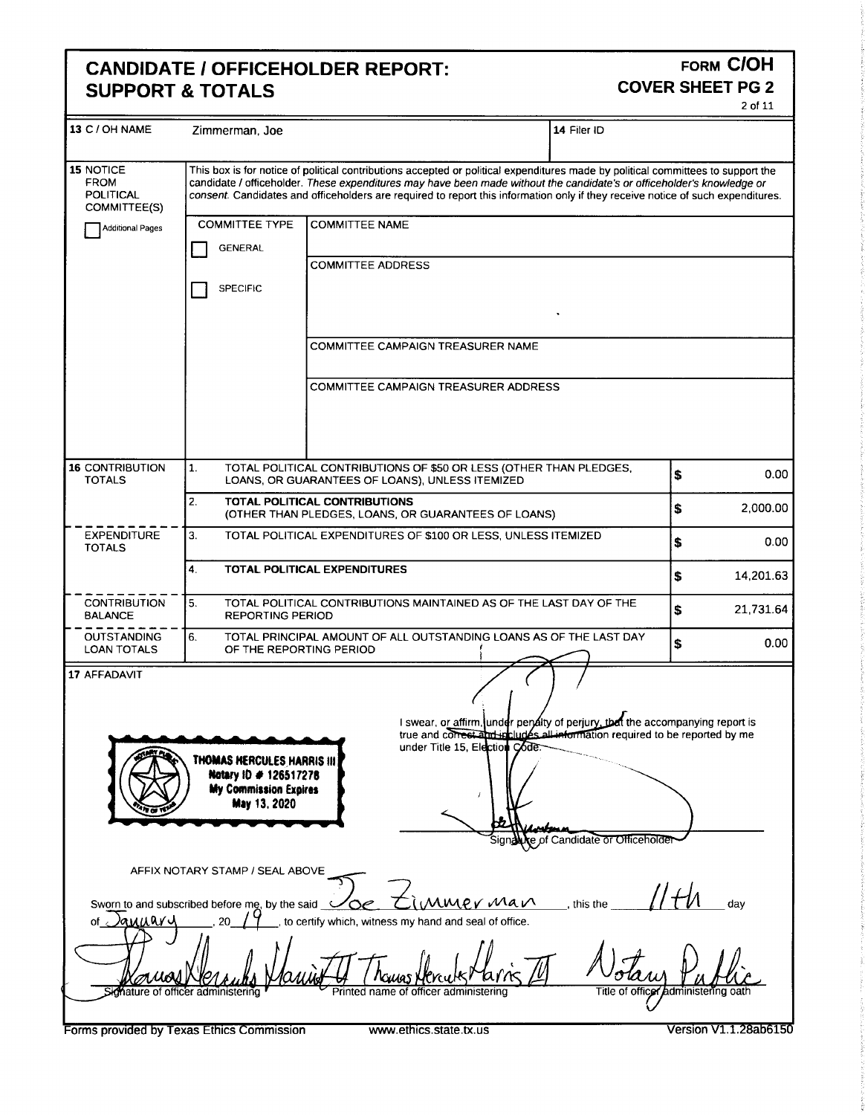# CANDIDATE / OFFICEHOLDER REPORT:<br>SUPPORT & TOTALS **SUPPORT & TOTALS**

2 of 11

| 13 C / OH NAME Zimmerman, Joe   |                                                                                              | 14 Filer ID                                                                                                                                                                                                                                                                                                                                                                                                                                  |                                                                                                                                                                                                                                                                                                                                                                                                                                                                                                                                                         |
|---------------------------------|----------------------------------------------------------------------------------------------|----------------------------------------------------------------------------------------------------------------------------------------------------------------------------------------------------------------------------------------------------------------------------------------------------------------------------------------------------------------------------------------------------------------------------------------------|---------------------------------------------------------------------------------------------------------------------------------------------------------------------------------------------------------------------------------------------------------------------------------------------------------------------------------------------------------------------------------------------------------------------------------------------------------------------------------------------------------------------------------------------------------|
|                                 |                                                                                              |                                                                                                                                                                                                                                                                                                                                                                                                                                              |                                                                                                                                                                                                                                                                                                                                                                                                                                                                                                                                                         |
| 15 NOTICE                       |                                                                                              | This box is for notice of political contributions accepted or political expenditures made by political committees to support the                                                                                                                                                                                                                                                                                                             |                                                                                                                                                                                                                                                                                                                                                                                                                                                                                                                                                         |
| <b>FROM</b>                     |                                                                                              | candidate / officeholder. These expenditures may have been made without the candidate's or officeholder's knowledge or                                                                                                                                                                                                                                                                                                                       |                                                                                                                                                                                                                                                                                                                                                                                                                                                                                                                                                         |
| POLITICAL<br><b>COMMITTEE(S</b> |                                                                                              | consent. Candidates and officeholders are required to report this information only if they receive notice of such expenditures.                                                                                                                                                                                                                                                                                                              |                                                                                                                                                                                                                                                                                                                                                                                                                                                                                                                                                         |
|                                 |                                                                                              | COMMITTEE TYPE COMMITTEE NAME                                                                                                                                                                                                                                                                                                                                                                                                                |                                                                                                                                                                                                                                                                                                                                                                                                                                                                                                                                                         |
| Additional Pages                |                                                                                              |                                                                                                                                                                                                                                                                                                                                                                                                                                              |                                                                                                                                                                                                                                                                                                                                                                                                                                                                                                                                                         |
|                                 | GENERAL                                                                                      |                                                                                                                                                                                                                                                                                                                                                                                                                                              |                                                                                                                                                                                                                                                                                                                                                                                                                                                                                                                                                         |
|                                 |                                                                                              | COMMITTEE ADDRESS                                                                                                                                                                                                                                                                                                                                                                                                                            |                                                                                                                                                                                                                                                                                                                                                                                                                                                                                                                                                         |
|                                 | SPECIFIC                                                                                     |                                                                                                                                                                                                                                                                                                                                                                                                                                              |                                                                                                                                                                                                                                                                                                                                                                                                                                                                                                                                                         |
|                                 |                                                                                              |                                                                                                                                                                                                                                                                                                                                                                                                                                              |                                                                                                                                                                                                                                                                                                                                                                                                                                                                                                                                                         |
|                                 |                                                                                              |                                                                                                                                                                                                                                                                                                                                                                                                                                              |                                                                                                                                                                                                                                                                                                                                                                                                                                                                                                                                                         |
|                                 |                                                                                              |                                                                                                                                                                                                                                                                                                                                                                                                                                              |                                                                                                                                                                                                                                                                                                                                                                                                                                                                                                                                                         |
|                                 |                                                                                              | COMMITTEE CAMPAIGN TREASURER NAME                                                                                                                                                                                                                                                                                                                                                                                                            |                                                                                                                                                                                                                                                                                                                                                                                                                                                                                                                                                         |
|                                 |                                                                                              |                                                                                                                                                                                                                                                                                                                                                                                                                                              |                                                                                                                                                                                                                                                                                                                                                                                                                                                                                                                                                         |
|                                 |                                                                                              | COMMITTEE CAMPAIGN TREASURER ADDRESS                                                                                                                                                                                                                                                                                                                                                                                                         |                                                                                                                                                                                                                                                                                                                                                                                                                                                                                                                                                         |
|                                 |                                                                                              |                                                                                                                                                                                                                                                                                                                                                                                                                                              |                                                                                                                                                                                                                                                                                                                                                                                                                                                                                                                                                         |
|                                 |                                                                                              |                                                                                                                                                                                                                                                                                                                                                                                                                                              |                                                                                                                                                                                                                                                                                                                                                                                                                                                                                                                                                         |
|                                 |                                                                                              |                                                                                                                                                                                                                                                                                                                                                                                                                                              |                                                                                                                                                                                                                                                                                                                                                                                                                                                                                                                                                         |
|                                 |                                                                                              |                                                                                                                                                                                                                                                                                                                                                                                                                                              |                                                                                                                                                                                                                                                                                                                                                                                                                                                                                                                                                         |
| 16 CONTRIBUTION                 |                                                                                              | TOTAL POLITICAL CONTRIBUTIONS OF \$50 OR LESS (OTHER THAN PLEDGES,                                                                                                                                                                                                                                                                                                                                                                           |                                                                                                                                                                                                                                                                                                                                                                                                                                                                                                                                                         |
|                                 |                                                                                              | LOANS, OR GUARANTEES OF LOANS), UNLESS ITEMIZED                                                                                                                                                                                                                                                                                                                                                                                              |                                                                                                                                                                                                                                                                                                                                                                                                                                                                                                                                                         |
|                                 |                                                                                              | TOTAL POLITICAL CONTRIBUTIONS                                                                                                                                                                                                                                                                                                                                                                                                                |                                                                                                                                                                                                                                                                                                                                                                                                                                                                                                                                                         |
|                                 |                                                                                              | (OTHER THAN PLEDGES, LOANS, OR GUARANTEES OF LOANS)                                                                                                                                                                                                                                                                                                                                                                                          | 2,000.00                                                                                                                                                                                                                                                                                                                                                                                                                                                                                                                                                |
|                                 |                                                                                              | TOTAL POLITICAL EXPENDITURES OF \$100 OR LESS, UNLESS ITEMIZED                                                                                                                                                                                                                                                                                                                                                                               |                                                                                                                                                                                                                                                                                                                                                                                                                                                                                                                                                         |
|                                 |                                                                                              |                                                                                                                                                                                                                                                                                                                                                                                                                                              |                                                                                                                                                                                                                                                                                                                                                                                                                                                                                                                                                         |
|                                 |                                                                                              | TOTAL POLITICAL EXPENDITURES                                                                                                                                                                                                                                                                                                                                                                                                                 |                                                                                                                                                                                                                                                                                                                                                                                                                                                                                                                                                         |
|                                 |                                                                                              |                                                                                                                                                                                                                                                                                                                                                                                                                                              | 14,201.63                                                                                                                                                                                                                                                                                                                                                                                                                                                                                                                                               |
| $-CONTRIBUTION$                 |                                                                                              | TOTAL POLITICAL CONTRIBUTIONS MAINTAINED AS OF THE LAST DAY OF THE                                                                                                                                                                                                                                                                                                                                                                           |                                                                                                                                                                                                                                                                                                                                                                                                                                                                                                                                                         |
|                                 | <b>REPORTING PERIOD</b>                                                                      |                                                                                                                                                                                                                                                                                                                                                                                                                                              | 21,731.64                                                                                                                                                                                                                                                                                                                                                                                                                                                                                                                                               |
| -----------                     |                                                                                              | TOTAL PRINCIPAL AMOUNT OF ALL OUTSTANDING LOANS AS OF THE LAST DAY                                                                                                                                                                                                                                                                                                                                                                           |                                                                                                                                                                                                                                                                                                                                                                                                                                                                                                                                                         |
|                                 | OF THE REPORTING PERIOD                                                                      |                                                                                                                                                                                                                                                                                                                                                                                                                                              |                                                                                                                                                                                                                                                                                                                                                                                                                                                                                                                                                         |
| <b>LOAN TOTALS</b>              |                                                                                              | $\longrightarrow$ $\longrightarrow$ $\longrightarrow$                                                                                                                                                                                                                                                                                                                                                                                        |                                                                                                                                                                                                                                                                                                                                                                                                                                                                                                                                                         |
|                                 |                                                                                              |                                                                                                                                                                                                                                                                                                                                                                                                                                              |                                                                                                                                                                                                                                                                                                                                                                                                                                                                                                                                                         |
|                                 |                                                                                              |                                                                                                                                                                                                                                                                                                                                                                                                                                              |                                                                                                                                                                                                                                                                                                                                                                                                                                                                                                                                                         |
|                                 |                                                                                              |                                                                                                                                                                                                                                                                                                                                                                                                                                              |                                                                                                                                                                                                                                                                                                                                                                                                                                                                                                                                                         |
|                                 |                                                                                              | I swear, or affirm, under pendity of perjury, that the accompanying report is<br>true and correst and includes all information required to be reported by me<br>under Title 15, Election Code                                                                                                                                                                                                                                                |                                                                                                                                                                                                                                                                                                                                                                                                                                                                                                                                                         |
|                                 | <b><i><u>MAAAAAAAAAAAAAA</u></i></b>                                                         |                                                                                                                                                                                                                                                                                                                                                                                                                                              |                                                                                                                                                                                                                                                                                                                                                                                                                                                                                                                                                         |
|                                 |                                                                                              |                                                                                                                                                                                                                                                                                                                                                                                                                                              |                                                                                                                                                                                                                                                                                                                                                                                                                                                                                                                                                         |
|                                 |                                                                                              |                                                                                                                                                                                                                                                                                                                                                                                                                                              |                                                                                                                                                                                                                                                                                                                                                                                                                                                                                                                                                         |
|                                 |                                                                                              |                                                                                                                                                                                                                                                                                                                                                                                                                                              |                                                                                                                                                                                                                                                                                                                                                                                                                                                                                                                                                         |
|                                 | THOMAS HERCULES HARRIS III<br>Notary 10 # 126517278<br>My Commission Expires<br>May 13, 2020 |                                                                                                                                                                                                                                                                                                                                                                                                                                              |                                                                                                                                                                                                                                                                                                                                                                                                                                                                                                                                                         |
|                                 | -----------------                                                                            | $\overline{\phantom{a}}$                                                                                                                                                                                                                                                                                                                                                                                                                     | $\begin{array}{c} \begin{array}{c} \begin{array}{c} \begin{array}{c} \end{array} \\ \end{array} \end{array} \end{array} \end{array} \end{array} \end{array} \begin{array}{c} \begin{array}{c} \begin{array}{c} \end{array} \\ \end{array} \end{array} \begin{array}{c} \begin{array}{c} \end{array} \end{array} \end{array} \begin{array}{c} \begin{array}{c} \begin{array}{c} \end{array} \end{array} \end{array} \end{array} \begin{array}{c} \begin{array}{c} \begin{array}{c} \end{array} \end{array} \end{array} \begin{array}{c} \begin{array}{c$ |
|                                 |                                                                                              | Signality of Candidate or Officeholder                                                                                                                                                                                                                                                                                                                                                                                                       |                                                                                                                                                                                                                                                                                                                                                                                                                                                                                                                                                         |
|                                 |                                                                                              |                                                                                                                                                                                                                                                                                                                                                                                                                                              |                                                                                                                                                                                                                                                                                                                                                                                                                                                                                                                                                         |
|                                 | AFFIX NOTARY STAMP / SEAL ABOVE                                                              |                                                                                                                                                                                                                                                                                                                                                                                                                                              |                                                                                                                                                                                                                                                                                                                                                                                                                                                                                                                                                         |
|                                 |                                                                                              |                                                                                                                                                                                                                                                                                                                                                                                                                                              |                                                                                                                                                                                                                                                                                                                                                                                                                                                                                                                                                         |
|                                 |                                                                                              | whis the $\frac{1}{\sqrt{1+\mu}}$ day<br>Sworn to and subscribed before me, by the said $\overline{\bigcirc}$ $\overline{\bigcirc}$ $\overline{\bigcirc}$ $\overline{\bigwedge}$ $\overline{\bigvee}$ $\overline{\bigvee}$ $\overline{\bigvee}$ $\overline{\bigvee}$ $\overline{\bigvee}$ $\overline{\bigvee}$ $\overline{\bigvee}$ $\overline{\bigvee}$ $\overline{\bigvee}$ $\overline{\bigvee}$ $\overline{\bigvee}$ $\overline{\bigvee}$ |                                                                                                                                                                                                                                                                                                                                                                                                                                                                                                                                                         |
|                                 | of $\sqrt{a_{\text{M}}a_{\text{N}}a_{\text{N}}}$                                             | _, to certify which, witness my hand and seal of office.                                                                                                                                                                                                                                                                                                                                                                                     |                                                                                                                                                                                                                                                                                                                                                                                                                                                                                                                                                         |
|                                 |                                                                                              |                                                                                                                                                                                                                                                                                                                                                                                                                                              |                                                                                                                                                                                                                                                                                                                                                                                                                                                                                                                                                         |
| $-\theta$                       |                                                                                              |                                                                                                                                                                                                                                                                                                                                                                                                                                              |                                                                                                                                                                                                                                                                                                                                                                                                                                                                                                                                                         |
|                                 |                                                                                              | Volani                                                                                                                                                                                                                                                                                                                                                                                                                                       |                                                                                                                                                                                                                                                                                                                                                                                                                                                                                                                                                         |
|                                 |                                                                                              | ( <i>houas Hercute Plains [1]</i>                                                                                                                                                                                                                                                                                                                                                                                                            | Title of officer administering oath                                                                                                                                                                                                                                                                                                                                                                                                                                                                                                                     |
|                                 |                                                                                              |                                                                                                                                                                                                                                                                                                                                                                                                                                              |                                                                                                                                                                                                                                                                                                                                                                                                                                                                                                                                                         |
|                                 |                                                                                              |                                                                                                                                                                                                                                                                                                                                                                                                                                              |                                                                                                                                                                                                                                                                                                                                                                                                                                                                                                                                                         |
|                                 | Forms provided by Texas Ethics Commission                                                    | www.ethics.state.tx.us                                                                                                                                                                                                                                                                                                                                                                                                                       | Version V1.1.28ab6150                                                                                                                                                                                                                                                                                                                                                                                                                                                                                                                                   |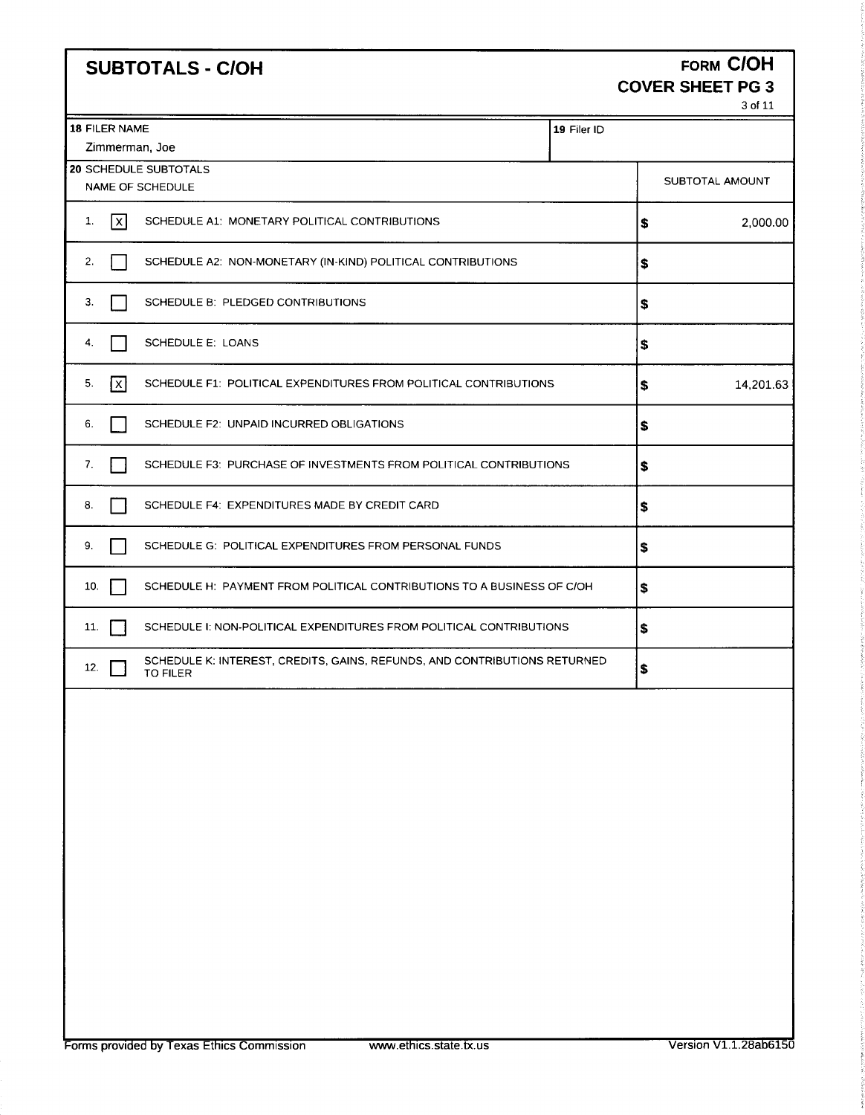### SUBTOTALS - C/OH FORM COH COVER SHEET PG 3

3 of 11

|               |                                                                                       |             |    | 3 of 11         |
|---------------|---------------------------------------------------------------------------------------|-------------|----|-----------------|
| 18 FILER NAME |                                                                                       | 19 Filer ID |    |                 |
|               | Zimmerman, Joe                                                                        |             |    |                 |
|               | 20 SCHEDULE SUBTOTALS<br>NAME OF SCHEDULE                                             |             |    | SUBTOTAL AMOUNT |
| 1.<br> x      | SCHEDULE A1: MONETARY POLITICAL CONTRIBUTIONS                                         |             | \$ | 2,000.00        |
| 2.            | SCHEDULE A2: NON-MONETARY (IN-KIND) POLITICAL CONTRIBUTIONS                           |             | \$ |                 |
| З.            | SCHEDULE B: PLEDGED CONTRIBUTIONS                                                     |             | \$ |                 |
| 4.            | SCHEDULE E: LOANS                                                                     |             | \$ |                 |
| x<br>5.       | SCHEDULE F1: POLITICAL EXPENDITURES FROM POLITICAL CONTRIBUTIONS                      |             | \$ | 14,201.63       |
| 6.            | SCHEDULE F2: UNPAID INCURRED OBLIGATIONS                                              |             | \$ |                 |
| 7.            | SCHEDULE F3: PURCHASE OF INVESTMENTS FROM POLITICAL CONTRIBUTIONS                     |             | \$ |                 |
| 8.            | SCHEDULE F4: EXPENDITURES MADE BY CREDIT CARD                                         |             | \$ |                 |
| 9.            | SCHEDULE G: POLITICAL EXPENDITURES FROM PERSONAL FUNDS                                |             | S  |                 |
| 10.           | SCHEDULE H: PAYMENT FROM POLITICAL CONTRIBUTIONS TO A BUSINESS OF C/OH                |             | s  |                 |
| 11.           | SCHEDULE I: NON-POLITICAL EXPENDITURES FROM POLITICAL CONTRIBUTIONS                   |             | \$ |                 |
| 12.           | SCHEDULE K: INTEREST, CREDITS, GAINS, REFUNDS, AND CONTRIBUTIONS RETURNED<br>TO FILER |             | \$ |                 |
|               |                                                                                       |             |    |                 |
|               |                                                                                       |             |    |                 |
|               |                                                                                       |             |    |                 |
|               |                                                                                       |             |    |                 |
|               |                                                                                       |             |    |                 |
|               |                                                                                       |             |    |                 |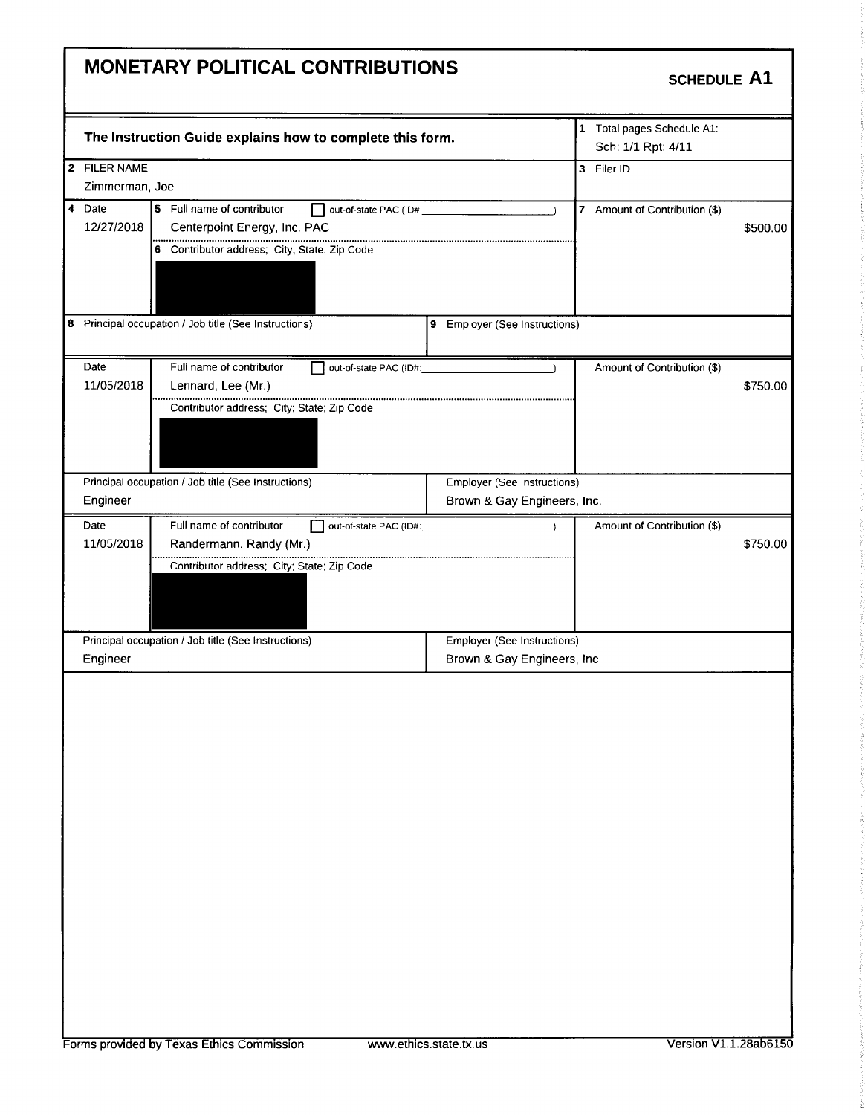### MONETARY POLITICAL CONTRIBUTIONS

#### SCHEDULE A1

|                                                                                                   |                                                                                                                                                                                                                                                                     | 1 Total pages Schedule A1:<br>Sch: 1/1 Rpt: 4/11                                                                                        |                                                                                                                                                                  |
|---------------------------------------------------------------------------------------------------|---------------------------------------------------------------------------------------------------------------------------------------------------------------------------------------------------------------------------------------------------------------------|-----------------------------------------------------------------------------------------------------------------------------------------|------------------------------------------------------------------------------------------------------------------------------------------------------------------|
|                                                                                                   |                                                                                                                                                                                                                                                                     | 3 Filer ID                                                                                                                              |                                                                                                                                                                  |
| Centerpoint Energy, Inc. PAC                                                                      | $\rightarrow$                                                                                                                                                                                                                                                       | 7 Amount of Contribution (\$)                                                                                                           | \$500.00                                                                                                                                                         |
|                                                                                                   |                                                                                                                                                                                                                                                                     |                                                                                                                                         |                                                                                                                                                                  |
| Full name of contributor<br>Lennard, Lee (Mr.)<br><br>Contributor address; City; State; Zip Code  |                                                                                                                                                                                                                                                                     | Amount of Contribution (\$)                                                                                                             | \$750.00                                                                                                                                                         |
|                                                                                                   |                                                                                                                                                                                                                                                                     |                                                                                                                                         |                                                                                                                                                                  |
| Full name of contributor<br>Randermann, Randy (Mr.)<br>Contributor address; City; State; Zip Code |                                                                                                                                                                                                                                                                     | Amount of Contribution (\$)                                                                                                             | \$750.00                                                                                                                                                         |
|                                                                                                   |                                                                                                                                                                                                                                                                     |                                                                                                                                         |                                                                                                                                                                  |
|                                                                                                   |                                                                                                                                                                                                                                                                     |                                                                                                                                         |                                                                                                                                                                  |
|                                                                                                   | Zimmerman, Joe<br>5 Full name of contributor<br>6 Contributor address; City; State; Zip Code<br>8 Principal occupation / Job title (See Instructions)<br>Principal occupation / Job title (See Instructions)<br>Principal occupation / Job title (See Instructions) | The Instruction Guide explains how to complete this form.<br>out-of-state PAC (ID#:<br>out-of-state PAC (ID#:<br>out-of-state PAC (ID#: | 9 Employer (See Instructions)<br>Employer (See Instructions)<br>Brown & Gay Engineers, Inc.<br><b>Employer (See Instructions)</b><br>Brown & Gay Engineers, Inc. |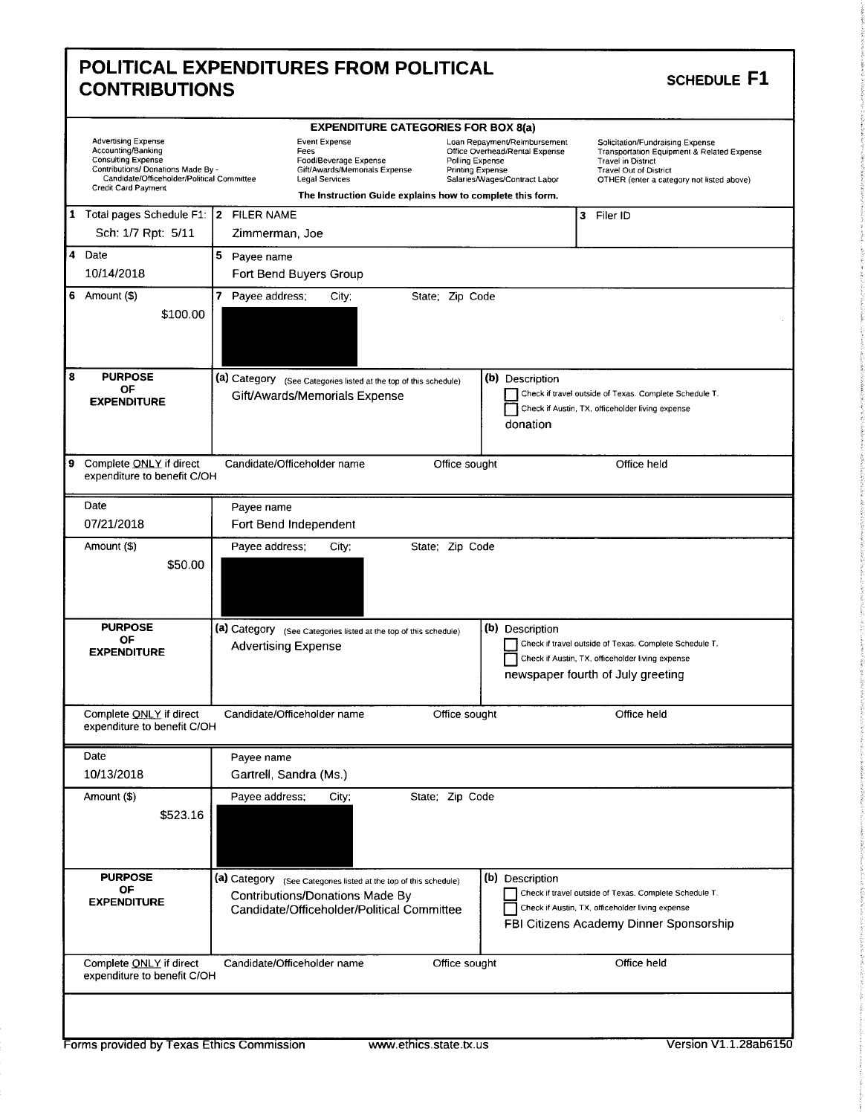| <b>Advertising Expense</b><br>Accounting/Banking<br><b>Consulting Expense</b><br>Contributions/ Donations Made By -<br>Candidate/Officeholder/Political Committee<br>Credit Card Payment | <b>EXPENDITURE CATEGORIES FOR BOX 8(a)</b><br><b>Event Expense</b><br>Fees<br>Polling Expense<br>Food/Beverage Expense<br>Gift/Awards/Memorials Expense<br><b>Printing Expense</b><br><b>Legal Services</b><br>The Instruction Guide explains how to complete this form. | Loan Repayment/Reimbursement<br>Solicitation/Fundraising Expense<br>Office Overhead/Rental Expense<br>Transportation Equipment & Related Expense<br><b>Travel in District</b><br><b>Travel Out of District</b><br>Salaries/Wages/Contract Labor<br>OTHER (enter a category not listed above) |
|------------------------------------------------------------------------------------------------------------------------------------------------------------------------------------------|--------------------------------------------------------------------------------------------------------------------------------------------------------------------------------------------------------------------------------------------------------------------------|----------------------------------------------------------------------------------------------------------------------------------------------------------------------------------------------------------------------------------------------------------------------------------------------|
| 1 Total pages Schedule F1: 2 FILER NAME<br>Sch: 1/7 Rpt: 5/11                                                                                                                            | Zimmerman, Joe                                                                                                                                                                                                                                                           | 3 Filer ID                                                                                                                                                                                                                                                                                   |
| 4 Date<br>10/14/2018                                                                                                                                                                     | 5 Payee name<br>Fort Bend Buyers Group                                                                                                                                                                                                                                   |                                                                                                                                                                                                                                                                                              |
| 6 Amount $($)$<br>\$100.00                                                                                                                                                               | 7 Payee address;<br>State: Zip Code<br>City;                                                                                                                                                                                                                             |                                                                                                                                                                                                                                                                                              |
| <b>PURPOSE</b><br>ΟF<br><b>EXPENDITURE</b>                                                                                                                                               | (a) Category (See Categories listed at the top of this schedule)<br>Gift/Awards/Memorials Expense                                                                                                                                                                        | (b) Description<br>Check if travel outside of Texas. Complete Schedule T.<br>Check if Austin, TX, officeholder living expense<br>donation                                                                                                                                                    |
| Complete ONLY if direct<br>expenditure to benefit C/OH                                                                                                                                   | Candidate/Officeholder name<br>Office sought                                                                                                                                                                                                                             | Office held                                                                                                                                                                                                                                                                                  |
| Date                                                                                                                                                                                     | Payee name                                                                                                                                                                                                                                                               |                                                                                                                                                                                                                                                                                              |
| 07/21/2018                                                                                                                                                                               | Fort Bend Independent                                                                                                                                                                                                                                                    |                                                                                                                                                                                                                                                                                              |
| Amount (\$)<br>\$50.00                                                                                                                                                                   | Payee address;<br>City;<br>State; Zip Code                                                                                                                                                                                                                               |                                                                                                                                                                                                                                                                                              |
| <b>PURPOSE</b><br>OF<br><b>EXPENDITURE</b>                                                                                                                                               | (a) Category (See Categories listed at the top of this schedule)<br><b>Advertising Expense</b>                                                                                                                                                                           | (b) Description<br>Check if travel outside of Texas. Complete Schedule T.<br>Check if Austin, TX, officeholder living expense<br>newspaper fourth of July greeting                                                                                                                           |
| Complete ONLY if direct<br>expenditure to benefit C/OH                                                                                                                                   | Candidate/Officeholder name<br>Office sought                                                                                                                                                                                                                             | Office held                                                                                                                                                                                                                                                                                  |
|                                                                                                                                                                                          |                                                                                                                                                                                                                                                                          |                                                                                                                                                                                                                                                                                              |
| Date                                                                                                                                                                                     | Payee name                                                                                                                                                                                                                                                               |                                                                                                                                                                                                                                                                                              |
| 10/13/2018<br>Amount (\$)<br>\$523.16                                                                                                                                                    | Gartrell, Sandra (Ms.)<br>State; Zip Code<br>Payee address;<br>City;                                                                                                                                                                                                     |                                                                                                                                                                                                                                                                                              |
| <b>PURPOSE</b><br>ОF<br><b>EXPENDITURE</b>                                                                                                                                               | (a) Category (See Categories listed at the top of this schedule)<br>Contributions/Donations Made By<br>Candidate/Officeholder/Political Committee                                                                                                                        | (b) Description<br>Check if travel outside of Texas. Complete Schedule T.<br>Check if Austin, TX, officeholder living expense<br>FBI Citizens Academy Dinner Sponsorship                                                                                                                     |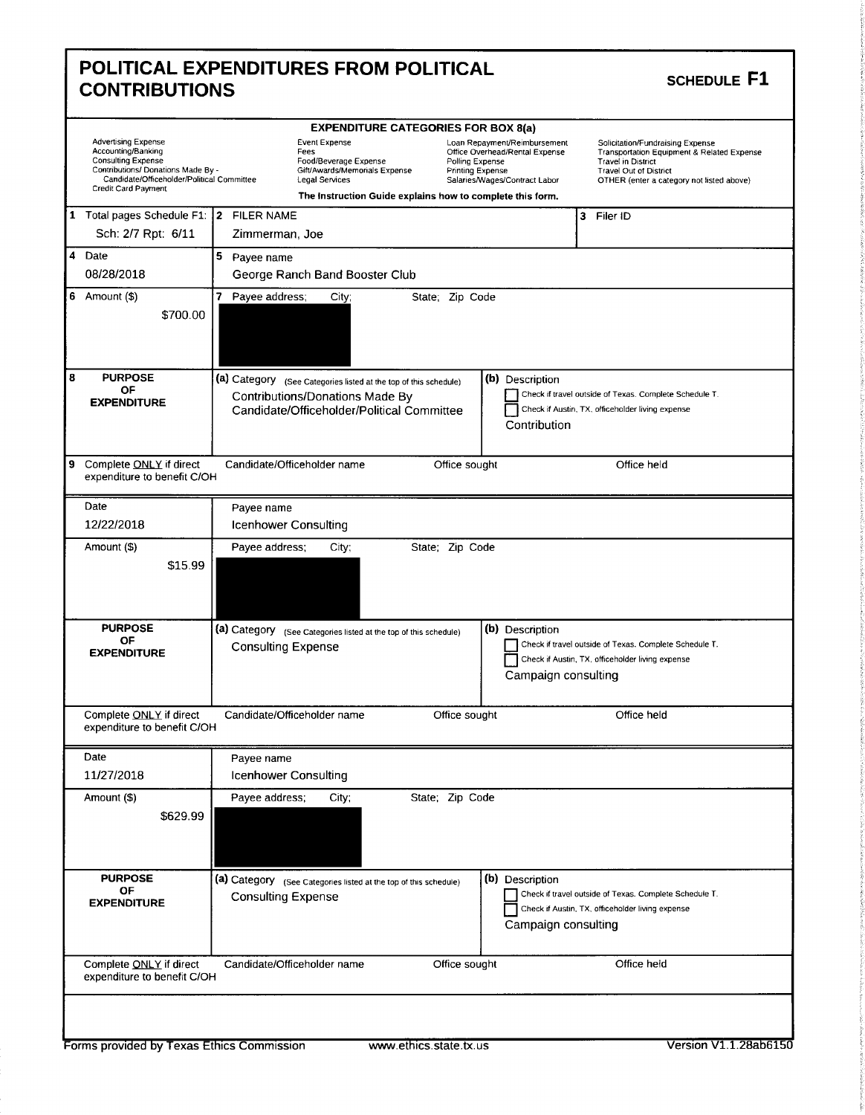|                                                                                                                                                                                          | <b>EXPENDITURE CATEGORIES FOR BOX 8(a)</b>                                                                                                                     |                                                                                                                                                                                                                                                                                                                                                |  |
|------------------------------------------------------------------------------------------------------------------------------------------------------------------------------------------|----------------------------------------------------------------------------------------------------------------------------------------------------------------|------------------------------------------------------------------------------------------------------------------------------------------------------------------------------------------------------------------------------------------------------------------------------------------------------------------------------------------------|--|
| <b>Advertising Expense</b><br>Accounting/Banking<br><b>Consulting Expense</b><br>Contributions/ Donations Made By -<br>Candidate/Officeholder/Political Committee<br>Credit Card Payment | Event Expense<br>Fees<br>Food/Beverage Expense<br>Gift/Awards/Memorials Expense<br>Legal Services<br>The Instruction Guide explains how to complete this form. | Loan Repayment/Reimbursement<br>Solicitation/Fundraising Expense<br>Office Overhead/Rental Expense<br><b>Transportation Equipment &amp; Related Expense</b><br>Polling Expense<br><b>Travel in District</b><br><b>Printing Expense</b><br>Travel Out of District<br>Salaries/Wages/Contract Labor<br>OTHER (enter a category not listed above) |  |
| 1 Total pages Schedule F1:   2 FILER NAME                                                                                                                                                |                                                                                                                                                                | 3<br>Filer ID                                                                                                                                                                                                                                                                                                                                  |  |
| Sch: 2/7 Rpt: 6/11                                                                                                                                                                       | Zimmerman, Joe                                                                                                                                                 |                                                                                                                                                                                                                                                                                                                                                |  |
| 4 Date                                                                                                                                                                                   | 5 Payee name                                                                                                                                                   |                                                                                                                                                                                                                                                                                                                                                |  |
| 08/28/2018                                                                                                                                                                               | George Ranch Band Booster Club                                                                                                                                 |                                                                                                                                                                                                                                                                                                                                                |  |
| 6 Amount $($)$<br>\$700.00                                                                                                                                                               | 7<br>Payee address;<br>City;                                                                                                                                   | State; Zip Code                                                                                                                                                                                                                                                                                                                                |  |
| <b>PURPOSE</b>                                                                                                                                                                           | (a) Category (See Categories listed at the top of this schedule)                                                                                               | (b) Description                                                                                                                                                                                                                                                                                                                                |  |
| ОF<br><b>EXPENDITURE</b>                                                                                                                                                                 | Contributions/Donations Made By<br>Candidate/Officeholder/Political Committee                                                                                  | Check if travel outside of Texas. Complete Schedule T.<br>Check if Austin, TX, officeholder living expense<br>Contribution                                                                                                                                                                                                                     |  |
| Complete ONLY if direct<br>expenditure to benefit C/OH                                                                                                                                   | Candidate/Officeholder name                                                                                                                                    | Office sought<br>Office held                                                                                                                                                                                                                                                                                                                   |  |
| Date                                                                                                                                                                                     | Payee name                                                                                                                                                     |                                                                                                                                                                                                                                                                                                                                                |  |
| 12/22/2018                                                                                                                                                                               | <b>Icenhower Consulting</b>                                                                                                                                    |                                                                                                                                                                                                                                                                                                                                                |  |
| Amount (\$)<br>\$15.99                                                                                                                                                                   | Payee address;<br>City;                                                                                                                                        | State; Zip Code                                                                                                                                                                                                                                                                                                                                |  |
| <b>PURPOSE</b>                                                                                                                                                                           | (a) Category (See Categories listed at the top of this schedule)                                                                                               | (b) Description                                                                                                                                                                                                                                                                                                                                |  |
| ΟF<br><b>EXPENDITURE</b>                                                                                                                                                                 | <b>Consulting Expense</b>                                                                                                                                      | Check if travel outside of Texas. Complete Schedule T.<br>Check if Austin, TX, officeholder living expense<br>Campaign consulting                                                                                                                                                                                                              |  |
| Complete ONLY if direct<br>expenditure to benefit C/OH                                                                                                                                   | Candidate/Officeholder name                                                                                                                                    | Office sought<br>Office held                                                                                                                                                                                                                                                                                                                   |  |
| Date                                                                                                                                                                                     | Payee name                                                                                                                                                     |                                                                                                                                                                                                                                                                                                                                                |  |
| 11/27/2018                                                                                                                                                                               | Icenhower Consulting                                                                                                                                           |                                                                                                                                                                                                                                                                                                                                                |  |
|                                                                                                                                                                                          | Payee address;<br>City;                                                                                                                                        | State; Zip Code                                                                                                                                                                                                                                                                                                                                |  |
| Amount (\$)<br>\$629.99                                                                                                                                                                  |                                                                                                                                                                |                                                                                                                                                                                                                                                                                                                                                |  |
| <b>PURPOSE</b><br>OF<br><b>EXPENDITURE</b>                                                                                                                                               | (a) Category (See Categories listed at the top of this schedule)<br><b>Consulting Expense</b>                                                                  | (b) Description<br>Check if travel outside of Texas. Complete Schedule T.<br>Check if Austin, TX, officeholder living expense<br>Campaign consulting                                                                                                                                                                                           |  |

 $\overline{\phantom{a}}$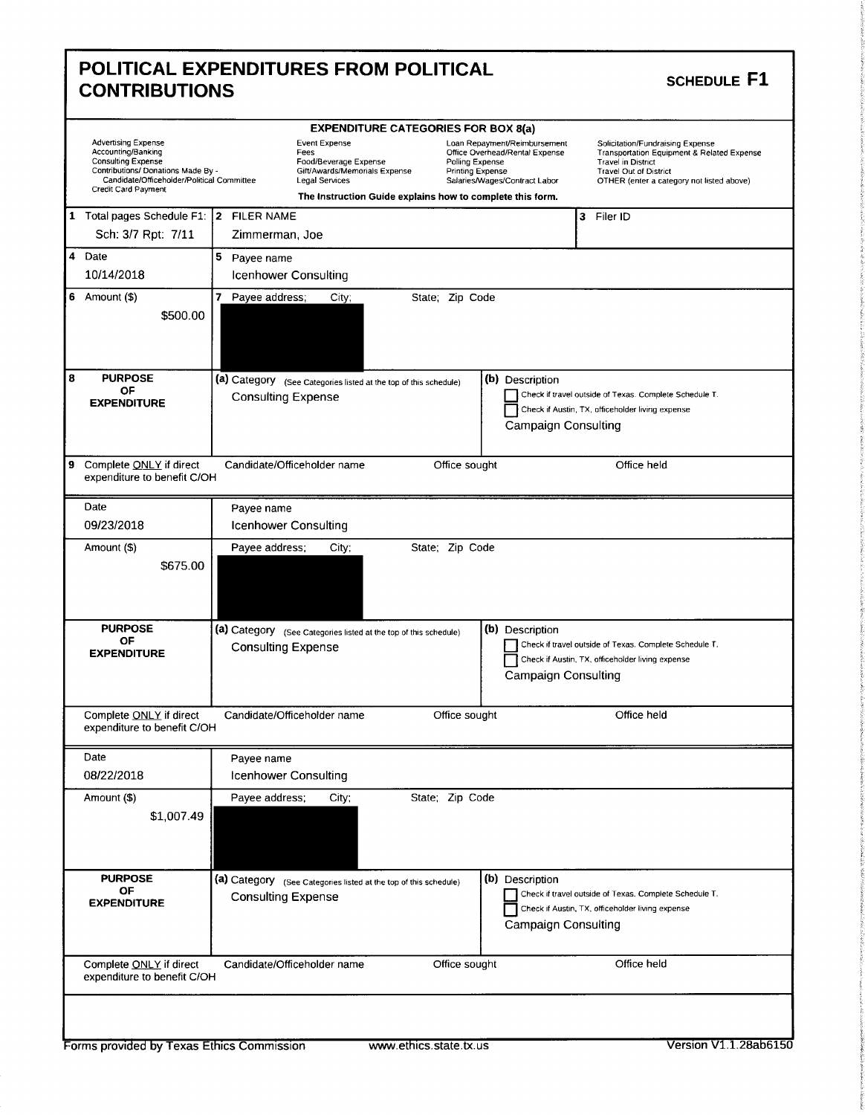|                                                                                                                                                                                          |                                                                                                          | <b>EXPENDITURE CATEGORIES FOR BOX 8(a)</b>                                                                                                                                                                 |                                                                                                                                                                                                      |
|------------------------------------------------------------------------------------------------------------------------------------------------------------------------------------------|----------------------------------------------------------------------------------------------------------|------------------------------------------------------------------------------------------------------------------------------------------------------------------------------------------------------------|------------------------------------------------------------------------------------------------------------------------------------------------------------------------------------------------------|
| <b>Advertising Expense</b><br>Accounting/Banking<br><b>Consulting Expense</b><br>Contributions/ Donations Made By -<br>Candidate/Officeholder/Political Committee<br>Credit Card Payment | Event Expense<br>Fees<br>Food/Beverage Expense<br>Gift/Awards/Memorials Expense<br><b>Legal Services</b> | Loan Repayment/Reimbursement<br>Office Overhead/Rental Expense<br>Polling Expense<br><b>Printing Expense</b><br>Salaries/Wages/Contract Labor<br>The Instruction Guide explains how to complete this form. | Solicitation/Fundraising Expense<br><b>Transportation Equipment &amp; Related Expense</b><br><b>Travel in District</b><br><b>Travel Out of District</b><br>OTHER (enter a category not listed above) |
| 1 Total pages Schedule F1: 2 FILER NAME                                                                                                                                                  |                                                                                                          | 3                                                                                                                                                                                                          | Filer ID                                                                                                                                                                                             |
| Sch: 3/7 Rpt: 7/11                                                                                                                                                                       | Zimmerman, Joe                                                                                           |                                                                                                                                                                                                            |                                                                                                                                                                                                      |
| Date                                                                                                                                                                                     | 5 Payee name                                                                                             |                                                                                                                                                                                                            |                                                                                                                                                                                                      |
| 10/14/2018                                                                                                                                                                               | Icenhower Consulting                                                                                     |                                                                                                                                                                                                            |                                                                                                                                                                                                      |
| 6 Amount $($)$<br>\$500.00                                                                                                                                                               | 7 Payee address;<br>City;                                                                                | State; Zip Code                                                                                                                                                                                            |                                                                                                                                                                                                      |
| <b>PURPOSE</b>                                                                                                                                                                           | (a) Category (See Categories listed at the top of this schedule)                                         | (b) Description                                                                                                                                                                                            |                                                                                                                                                                                                      |
| ОF<br><b>EXPENDITURE</b>                                                                                                                                                                 | <b>Consulting Expense</b>                                                                                | Campaign Consulting                                                                                                                                                                                        | Check if travel outside of Texas. Complete Schedule T.<br>Check if Austin, TX, officeholder living expense                                                                                           |
| Complete ONLY if direct<br>expenditure to benefit C/OH                                                                                                                                   | Candidate/Officeholder name                                                                              | Office sought                                                                                                                                                                                              | Office held                                                                                                                                                                                          |
| Date                                                                                                                                                                                     | Payee name                                                                                               |                                                                                                                                                                                                            |                                                                                                                                                                                                      |
| 09/23/2018                                                                                                                                                                               | <b>Icenhower Consulting</b>                                                                              |                                                                                                                                                                                                            |                                                                                                                                                                                                      |
| Amount (\$)<br>\$675.00                                                                                                                                                                  | Payee address;<br>City;                                                                                  | State; Zip Code                                                                                                                                                                                            |                                                                                                                                                                                                      |
| <b>PURPOSE</b>                                                                                                                                                                           | (a) Category (See Categories listed at the top of this schedule)                                         | (b) Description                                                                                                                                                                                            |                                                                                                                                                                                                      |
| OF<br><b>EXPENDITURE</b>                                                                                                                                                                 | <b>Consulting Expense</b>                                                                                | <b>Campaign Consulting</b>                                                                                                                                                                                 | Check if travel outside of Texas. Complete Schedule T.<br>Check if Austin, TX, officeholder living expense                                                                                           |
|                                                                                                                                                                                          |                                                                                                          | Office sought                                                                                                                                                                                              | Office held                                                                                                                                                                                          |
| Complete ONLY if direct<br>expenditure to benefit C/OH                                                                                                                                   | Candidate/Officeholder name                                                                              |                                                                                                                                                                                                            |                                                                                                                                                                                                      |
| Date                                                                                                                                                                                     | Payee name                                                                                               |                                                                                                                                                                                                            |                                                                                                                                                                                                      |
| 08/22/2018                                                                                                                                                                               | Icenhower Consulting                                                                                     |                                                                                                                                                                                                            |                                                                                                                                                                                                      |
| Amount (\$)<br>\$1,007.49                                                                                                                                                                | Payee address;<br>City;                                                                                  | State; Zip Code                                                                                                                                                                                            |                                                                                                                                                                                                      |
| <b>PURPOSE</b><br>OF<br><b>EXPENDITURE</b>                                                                                                                                               | (a) Category (See Categories listed at the top of this schedule)<br><b>Consulting Expense</b>            | (b) Description<br><b>Campaign Consulting</b>                                                                                                                                                              | Check if travel outside of Texas. Complete Schedule T.<br>Check if Austin, TX, officeholder living expense                                                                                           |

r

i:"''

i.

t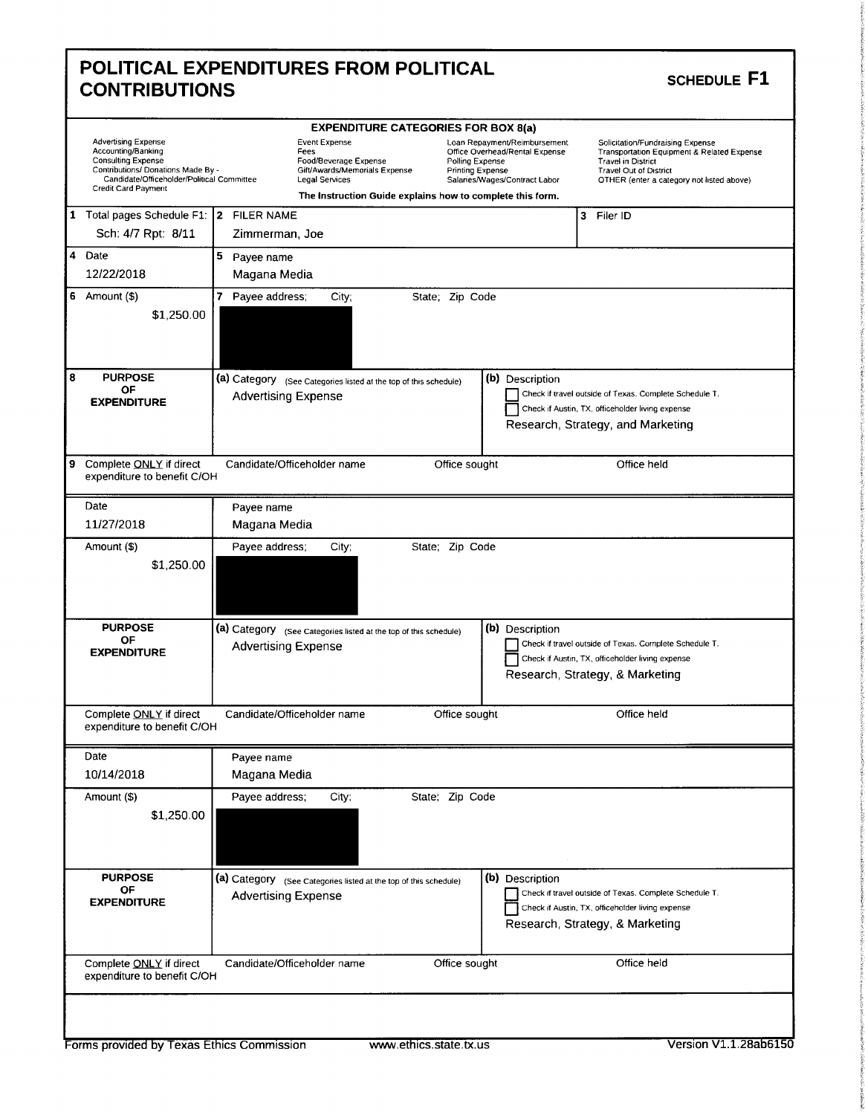|                                                                                                                                                                                                 | <b>EXPENDITURE CATEGORIES FOR BOX 8(a)</b>                                                                                                                            |                                                                                                                                                                                                                                                                                                                                            |
|-------------------------------------------------------------------------------------------------------------------------------------------------------------------------------------------------|-----------------------------------------------------------------------------------------------------------------------------------------------------------------------|--------------------------------------------------------------------------------------------------------------------------------------------------------------------------------------------------------------------------------------------------------------------------------------------------------------------------------------------|
| <b>Advertising Expense</b><br>Accounting/Banking<br><b>Consulting Expense</b><br>Contributions/ Donations Made By -<br>Candidate/Officeholder/Political Committee<br><b>Credit Card Payment</b> | <b>Event Expense</b><br>Fees<br>Food/Beverage Expense<br>Gift/Awards/Memorials Expense<br>Legal Services<br>The Instruction Guide explains how to complete this form. | Loan Repayment/Reimbursement<br>Solicitation/Fundraising Expense<br>Office Overhead/Rental Expense<br>Transportation Equipment & Related Expense<br>Polling Expense<br><b>Travel in District</b><br><b>Printing Expense</b><br><b>Travel Out of District</b><br>Salaries/Wages/Contract Labor<br>OTHER (enter a category not listed above) |
| 1 Total pages Schedule F1: 2 FILER NAME<br>Sch: 4/7 Rpt: 8/11                                                                                                                                   | Zimmerman, Joe                                                                                                                                                        | 3 Filer ID                                                                                                                                                                                                                                                                                                                                 |
| 4 Date<br>12/22/2018                                                                                                                                                                            | 5 Payee name<br>Magana Media                                                                                                                                          |                                                                                                                                                                                                                                                                                                                                            |
| 6 Amount $(\$)$<br>\$1,250.00                                                                                                                                                                   | 7 Payee address:<br>State; Zip Code<br>City;                                                                                                                          |                                                                                                                                                                                                                                                                                                                                            |
| <b>PURPOSE</b><br>OF<br><b>EXPENDITURE</b>                                                                                                                                                      | (a) Category (See Categories listed at the top of this schedule)<br><b>Advertising Expense</b>                                                                        | (b) Description<br>Check if travel outside of Texas. Complete Schedule T.<br>Check if Austin, TX, officeholder living expense<br>Research, Strategy, and Marketing                                                                                                                                                                         |
| Complete ONLY if direct<br>expenditure to benefit C/OH                                                                                                                                          | Candidate/Officeholder name<br>Office sought                                                                                                                          | Office held                                                                                                                                                                                                                                                                                                                                |
| Date<br>11/27/2018                                                                                                                                                                              | Payee name<br>Magana Media                                                                                                                                            |                                                                                                                                                                                                                                                                                                                                            |
| Amount (\$)<br>\$1,250.00                                                                                                                                                                       | Payee address;<br>City;<br>State; Zip Code                                                                                                                            |                                                                                                                                                                                                                                                                                                                                            |
| <b>PURPOSE</b><br>OF<br><b>EXPENDITURE</b>                                                                                                                                                      | (a) Category (See Categories listed at the top of this schedule)<br><b>Advertising Expense</b>                                                                        | (b) Description<br>Check if travel outside of Texas. Complete Schedule T.<br>Check if Austin, TX, officeholder living expense<br>Research, Strategy, & Marketing                                                                                                                                                                           |
| Complete ONLY if direct<br>expenditure to benefit C/OH                                                                                                                                          | Candidate/Officeholder name<br>Office sought                                                                                                                          | Office held                                                                                                                                                                                                                                                                                                                                |
| Date<br>10/14/2018                                                                                                                                                                              | Payee name<br>Magana Media                                                                                                                                            |                                                                                                                                                                                                                                                                                                                                            |
| Amount (\$)<br>\$1,250.00                                                                                                                                                                       | Payee address;<br>State; Zip Code<br>City,                                                                                                                            |                                                                                                                                                                                                                                                                                                                                            |
| <b>PURPOSE</b><br>ОF                                                                                                                                                                            | (a) Category (See Categories listed at the top of this schedule)<br><b>Advertising Expense</b>                                                                        | (b) Description<br>Check if travel outside of Texas. Complete Schedule T.<br>Check if Austin, TX, officeholder living expense<br>Research, Strategy, & Marketing                                                                                                                                                                           |
| <b>EXPENDITURE</b>                                                                                                                                                                              |                                                                                                                                                                       |                                                                                                                                                                                                                                                                                                                                            |

Г

intervalse.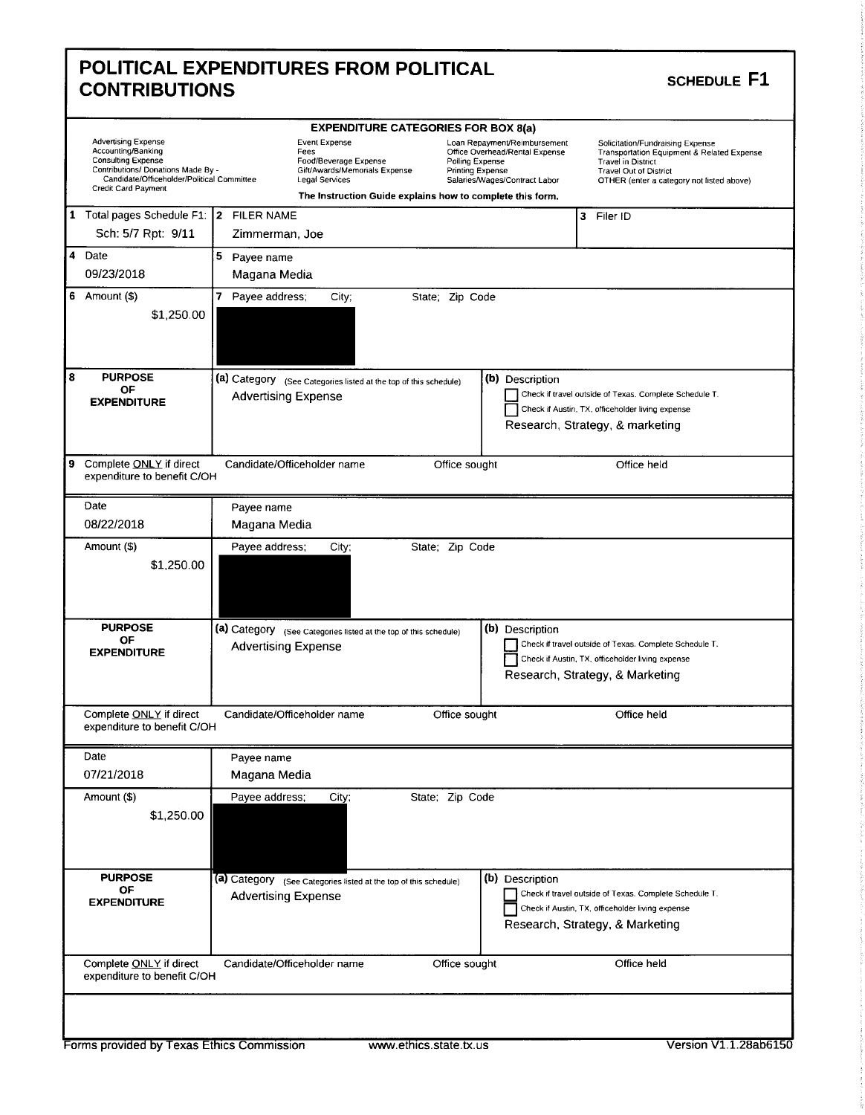| <b>CONTRIBUTIONS</b>                                                                                                                                                                     | POLITICAL EXPENDITURES FROM POLITICAL                                                                                                                                                                | SCHEDULE F1                                                                                                                                                                                                                                                                                      |
|------------------------------------------------------------------------------------------------------------------------------------------------------------------------------------------|------------------------------------------------------------------------------------------------------------------------------------------------------------------------------------------------------|--------------------------------------------------------------------------------------------------------------------------------------------------------------------------------------------------------------------------------------------------------------------------------------------------|
| <b>Advertising Expense</b><br>Accounting/Banking<br><b>Consulting Expense</b><br>Contributions/ Donations Made By -<br>Candidate/Officeholder/Political Committee<br>Credit Card Payment | <b>EXPENDITURE CATEGORIES FOR BOX 8(a)</b><br><b>Event Expense</b><br>Fees<br>Food/Beverage Expense<br>Polling Expense<br>Gift/Awards/Memorials Expense<br><b>Printing Expense</b><br>Legal Services | Loan Repayment/Reimbursement<br>Solicitation/Fundraising Expense<br>Office Overhead/Rental Expense<br><b>Transportation Equipment &amp; Related Expense</b><br><b>Travel in District</b><br>Travel Out of District<br>Salaries/Wages/Contract Labor<br>OTHER (enter a category not listed above) |
| 1 Total pages Schedule F1: 2 FILER NAME<br>Sch: 5/7 Rpt: 9/11                                                                                                                            | The Instruction Guide explains how to complete this form.<br>Zimmerman, Joe                                                                                                                          | 3 Filer ID                                                                                                                                                                                                                                                                                       |
| 4 Date<br>09/23/2018                                                                                                                                                                     | 5 Payee name<br>Magana Media                                                                                                                                                                         |                                                                                                                                                                                                                                                                                                  |
| $6$ Amount $($)$<br>\$1,250.00                                                                                                                                                           | 7 Payee address;<br>State; Zip Code<br>City;                                                                                                                                                         |                                                                                                                                                                                                                                                                                                  |
| <b>PURPOSE</b><br>ΟF<br><b>EXPENDITURE</b>                                                                                                                                               | (a) Category (See Categories listed at the top of this schedule)<br><b>Advertising Expense</b>                                                                                                       | (b) Description<br>Check if travel outside of Texas. Complete Schedule T.<br>Check if Austin, TX, officeholder living expense<br>Research, Strategy, & marketing                                                                                                                                 |
| Complete ONLY if direct<br>expenditure to benefit C/OH                                                                                                                                   | Candidate/Officeholder name<br>Office sought                                                                                                                                                         | Office held                                                                                                                                                                                                                                                                                      |
| Date<br>08/22/2018                                                                                                                                                                       | Payee name<br>Magana Media                                                                                                                                                                           |                                                                                                                                                                                                                                                                                                  |
| Amount (\$)<br>\$1,250.00                                                                                                                                                                | Payee address;<br>State; Zip Code<br>City;                                                                                                                                                           |                                                                                                                                                                                                                                                                                                  |
| <b>PURPOSE</b><br>OF<br><b>EXPENDITURE</b>                                                                                                                                               | (a) Category (See Categories listed at the top of this schedule)<br><b>Advertising Expense</b>                                                                                                       | (b) Description<br>Check if travel outside of Texas. Complete Schedule T.<br>Check if Austin, TX, officeholder living expense<br>Research, Strategy, & Marketing                                                                                                                                 |
| Complete ONLY if direct<br>expenditure to benefit C/OH                                                                                                                                   | Candidate/Officeholder name<br>Office sought                                                                                                                                                         | Office held                                                                                                                                                                                                                                                                                      |
| Date<br>07/21/2018                                                                                                                                                                       | Payee name<br>Magana Media                                                                                                                                                                           |                                                                                                                                                                                                                                                                                                  |
| Amount (\$)<br>\$1,250.00                                                                                                                                                                | State; Zip Code<br>Payee address;<br>City;                                                                                                                                                           |                                                                                                                                                                                                                                                                                                  |
| <b>PURPOSE</b><br>ОF<br><b>EXPENDITURE</b>                                                                                                                                               | (a) Category (See Categories listed at the top of this schedule)<br><b>Advertising Expense</b>                                                                                                       | (b) Description<br>Check if travel outside of Texas. Complete Schedule T.<br>Check if Austin, TX, officeholder living expense<br>Research, Strategy, & Marketing                                                                                                                                 |
| Complete ONLY if direct                                                                                                                                                                  | Candidate/Officeholder name<br>Office sought                                                                                                                                                         | Office held                                                                                                                                                                                                                                                                                      |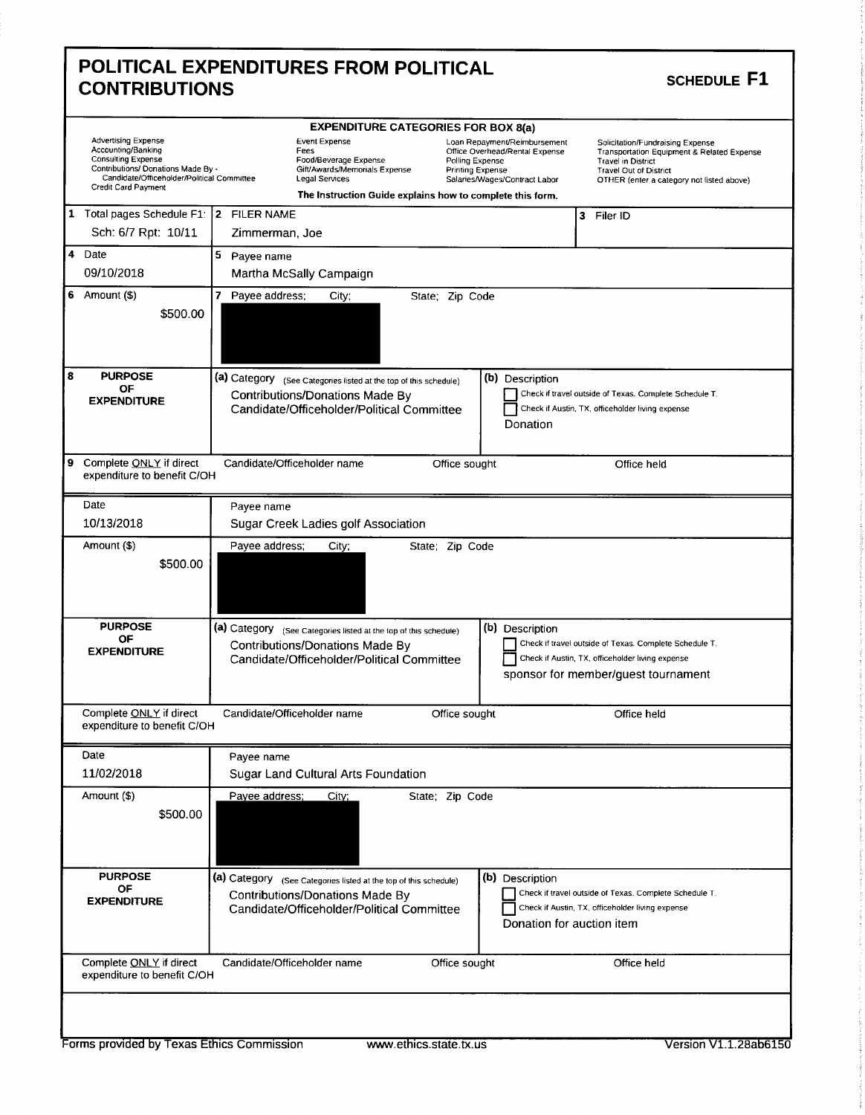| <b>CONTRIBUTIONS</b>                                                                                                                                              |                                                                                                                                                                                                                                                                                                                | <b>SCHEDULE F1</b>                                                                                                                                                                        |
|-------------------------------------------------------------------------------------------------------------------------------------------------------------------|----------------------------------------------------------------------------------------------------------------------------------------------------------------------------------------------------------------------------------------------------------------------------------------------------------------|-------------------------------------------------------------------------------------------------------------------------------------------------------------------------------------------|
| <b>Advertising Expense</b><br>Accounting/Banking<br><b>Consulting Expense</b><br>Contributions/ Donations Made By -<br>Candidate/Officeholder/Political Committee | <b>EXPENDITURE CATEGORIES FOR BOX 8(a)</b><br><b>Event Expense</b><br>Loan Repayment/Reimbursement<br>Fees<br>Office Overhead/Rental Expense<br>Food/Beverage Expense<br>Polling Expense<br>Gift/Awards/Memorials Expense<br><b>Printing Expense</b><br><b>Legal Services</b><br>Salaries/Wages/Contract Labor | Solicitation/Fundraising Expense<br>Transportation Equipment & Related Expense<br><b>Travel in District</b><br><b>Travel Out of District</b><br>OTHER (enter a category not listed above) |
| Credit Card Payment                                                                                                                                               | The Instruction Guide explains how to complete this form.                                                                                                                                                                                                                                                      |                                                                                                                                                                                           |
| 1 Total pages Schedule F1:   2 FILER NAME<br>Sch: 6/7 Rpt: 10/11                                                                                                  | Zimmerman, Joe                                                                                                                                                                                                                                                                                                 | 3 Filer ID                                                                                                                                                                                |
| 4 Date<br>09/10/2018                                                                                                                                              | 5 Payee name<br>Martha McSally Campaign                                                                                                                                                                                                                                                                        |                                                                                                                                                                                           |
| 6 Amount $(\$)$<br>\$500.00                                                                                                                                       | $\mathbf{7}$<br>Payee address;<br>State; Zip Code<br>City;                                                                                                                                                                                                                                                     |                                                                                                                                                                                           |
| <b>PURPOSE</b><br>ΟF<br><b>EXPENDITURE</b>                                                                                                                        | (b) Description<br>(a) Category (See Categories listed at the top of this schedule)<br>Contributions/Donations Made By<br>Candidate/Officeholder/Political Committee<br>Donation                                                                                                                               | Check if travel outside of Texas. Complete Schedule T.<br>Check if Austin, TX, officeholder living expense                                                                                |
| Complete ONLY if direct<br>expenditure to benefit C/OH                                                                                                            | Candidate/Officeholder name<br>Office sought                                                                                                                                                                                                                                                                   | Office held                                                                                                                                                                               |
| Date<br>10/13/2018                                                                                                                                                | Payee name<br>Sugar Creek Ladies golf Association                                                                                                                                                                                                                                                              |                                                                                                                                                                                           |
| Amount (\$)<br>\$500.00                                                                                                                                           | Payee address;<br>State; Zip Code<br>City;                                                                                                                                                                                                                                                                     |                                                                                                                                                                                           |
| <b>PURPOSE</b><br>0F<br><b>EXPENDITURE</b>                                                                                                                        | (a) Category (See Categories listed at the top of this schedule)<br>(b) Description<br>Contributions/Donations Made By<br>Candidate/Officeholder/Political Committee                                                                                                                                           | Check if travel outside of Texas. Complete Schedule T.<br>Check if Austin, TX, officeholder living expense<br>sponsor for member/quest tournament                                         |
| Complete ONLY if direct<br>expenditure to benefit C/OH                                                                                                            | Candidate/Officeholder name<br>Office sought                                                                                                                                                                                                                                                                   | Office held                                                                                                                                                                               |
| Date<br>11/02/2018                                                                                                                                                | Payee name<br>Sugar Land Cultural Arts Foundation                                                                                                                                                                                                                                                              |                                                                                                                                                                                           |
| Amount (\$)                                                                                                                                                       | Payee address;<br>State; Zip Code<br>City;                                                                                                                                                                                                                                                                     |                                                                                                                                                                                           |
| \$500.00                                                                                                                                                          |                                                                                                                                                                                                                                                                                                                |                                                                                                                                                                                           |
| <b>PURPOSE</b><br><b>OF</b><br><b>EXPENDITURE</b>                                                                                                                 | (b) Description<br>(a) Category (See Categories listed at the top of this schedule)<br>Contributions/Donations Made By<br>Candidate/Officeholder/Political Committee<br>Donation for auction item                                                                                                              | Check if travel outside of Texas. Complete Schedule T.<br>Check if Austin, TX, officeholder living expense                                                                                |

f